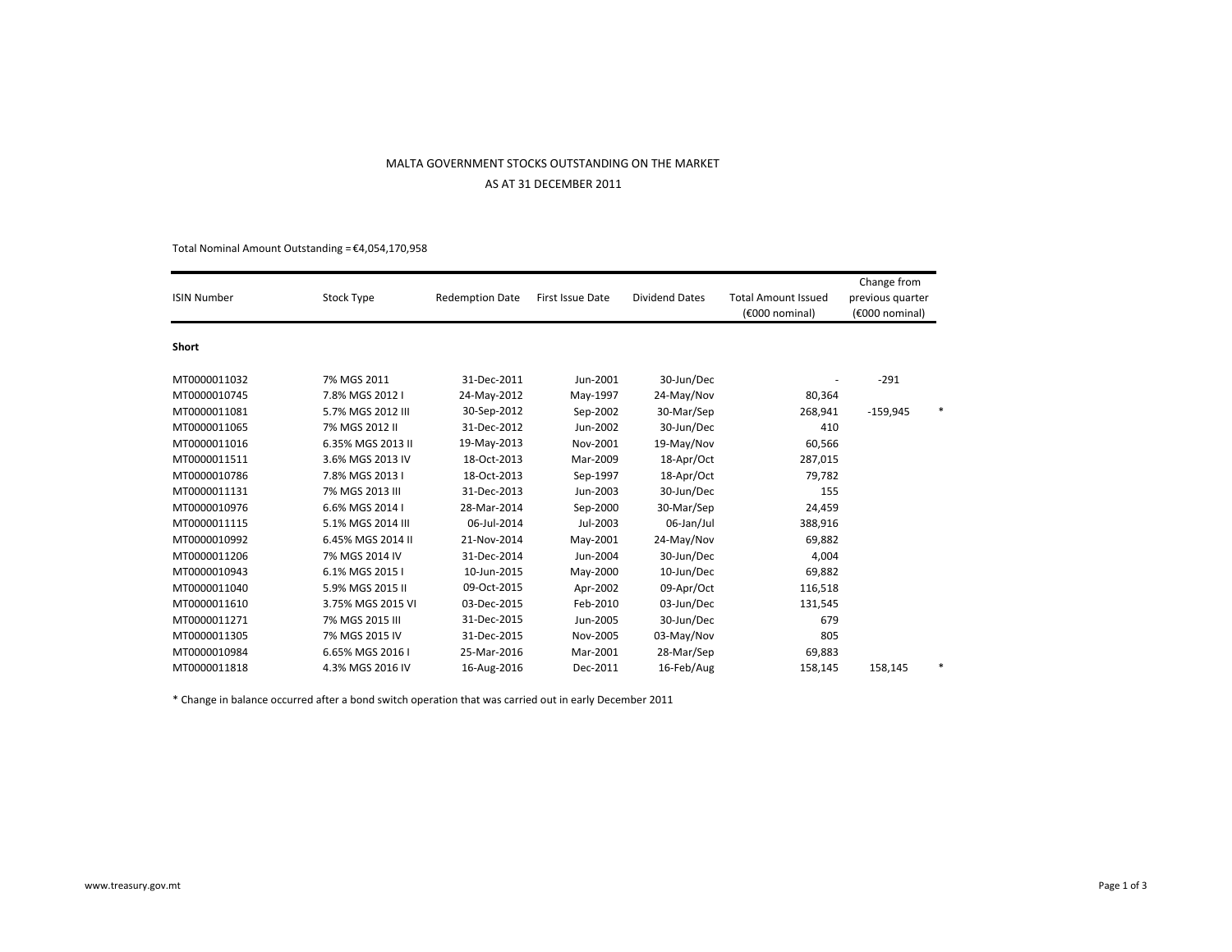## MALTA GOVERNMENT STOCKS OUTSTANDING ON THE MARKET

## AS AT 31 DECEMBER 2011

Total Nominal Amount Outstanding = €4,054,170,958 $8<sub>5</sub>$ 

| <b>ISIN Number</b> | <b>Stock Type</b> | <b>Redemption Date</b> | First Issue Date | <b>Dividend Dates</b> | <b>Total Amount Issued</b><br>(€000 nominal) | Change from<br>previous quarter<br>(€000 nominal) |
|--------------------|-------------------|------------------------|------------------|-----------------------|----------------------------------------------|---------------------------------------------------|
| <b>Short</b>       |                   |                        |                  |                       |                                              |                                                   |
| MT0000011032       | 7% MGS 2011       | 31-Dec-2011            | Jun-2001         | 30-Jun/Dec            |                                              | $-291$                                            |
| MT0000010745       | 7.8% MGS 2012 I   | 24-May-2012            | May-1997         | 24-May/Nov            | 80,364                                       |                                                   |
| MT0000011081       | 5.7% MGS 2012 III | 30-Sep-2012            | Sep-2002         | 30-Mar/Sep            | 268,941                                      | $-159,945$                                        |
| MT0000011065       | 7% MGS 2012 II    | 31-Dec-2012            | Jun-2002         | 30-Jun/Dec            | 410                                          |                                                   |
| MT0000011016       | 6.35% MGS 2013 II | 19-May-2013            | Nov-2001         | 19-May/Nov            | 60,566                                       |                                                   |
| MT0000011511       | 3.6% MGS 2013 IV  | 18-Oct-2013            | Mar-2009         | 18-Apr/Oct            | 287,015                                      |                                                   |
| MT0000010786       | 7.8% MGS 2013 I   | 18-Oct-2013            | Sep-1997         | 18-Apr/Oct            | 79,782                                       |                                                   |
| MT0000011131       | 7% MGS 2013 III   | 31-Dec-2013            | Jun-2003         | 30-Jun/Dec            | 155                                          |                                                   |
| MT0000010976       | 6.6% MGS 2014 I   | 28-Mar-2014            | Sep-2000         | 30-Mar/Sep            | 24,459                                       |                                                   |
| MT0000011115       | 5.1% MGS 2014 III | 06-Jul-2014            | Jul-2003         | 06-Jan/Jul            | 388,916                                      |                                                   |
| MT0000010992       | 6.45% MGS 2014 II | 21-Nov-2014            | May-2001         | 24-May/Nov            | 69,882                                       |                                                   |
| MT0000011206       | 7% MGS 2014 IV    | 31-Dec-2014            | Jun-2004         | 30-Jun/Dec            | 4,004                                        |                                                   |
| MT0000010943       | 6.1% MGS 2015 I   | 10-Jun-2015            | May-2000         | 10-Jun/Dec            | 69,882                                       |                                                   |
| MT0000011040       | 5.9% MGS 2015 II  | 09-Oct-2015            | Apr-2002         | 09-Apr/Oct            | 116,518                                      |                                                   |
| MT0000011610       | 3.75% MGS 2015 VI | 03-Dec-2015            | Feb-2010         | 03-Jun/Dec            | 131,545                                      |                                                   |
| MT0000011271       | 7% MGS 2015 III   | 31-Dec-2015            | Jun-2005         | 30-Jun/Dec            | 679                                          |                                                   |
| MT0000011305       | 7% MGS 2015 IV    | 31-Dec-2015            | Nov-2005         | 03-May/Nov            | 805                                          |                                                   |
| MT0000010984       | 6.65% MGS 2016 I  | 25-Mar-2016            | Mar-2001         | 28-Mar/Sep            | 69,883                                       |                                                   |
| MT0000011818       | 4.3% MGS 2016 IV  | 16-Aug-2016            | Dec-2011         | 16-Feb/Aug            | 158,145                                      | *<br>158,145                                      |

\* Change in balance occurred after a bond switch operation that was carried out in early December 2011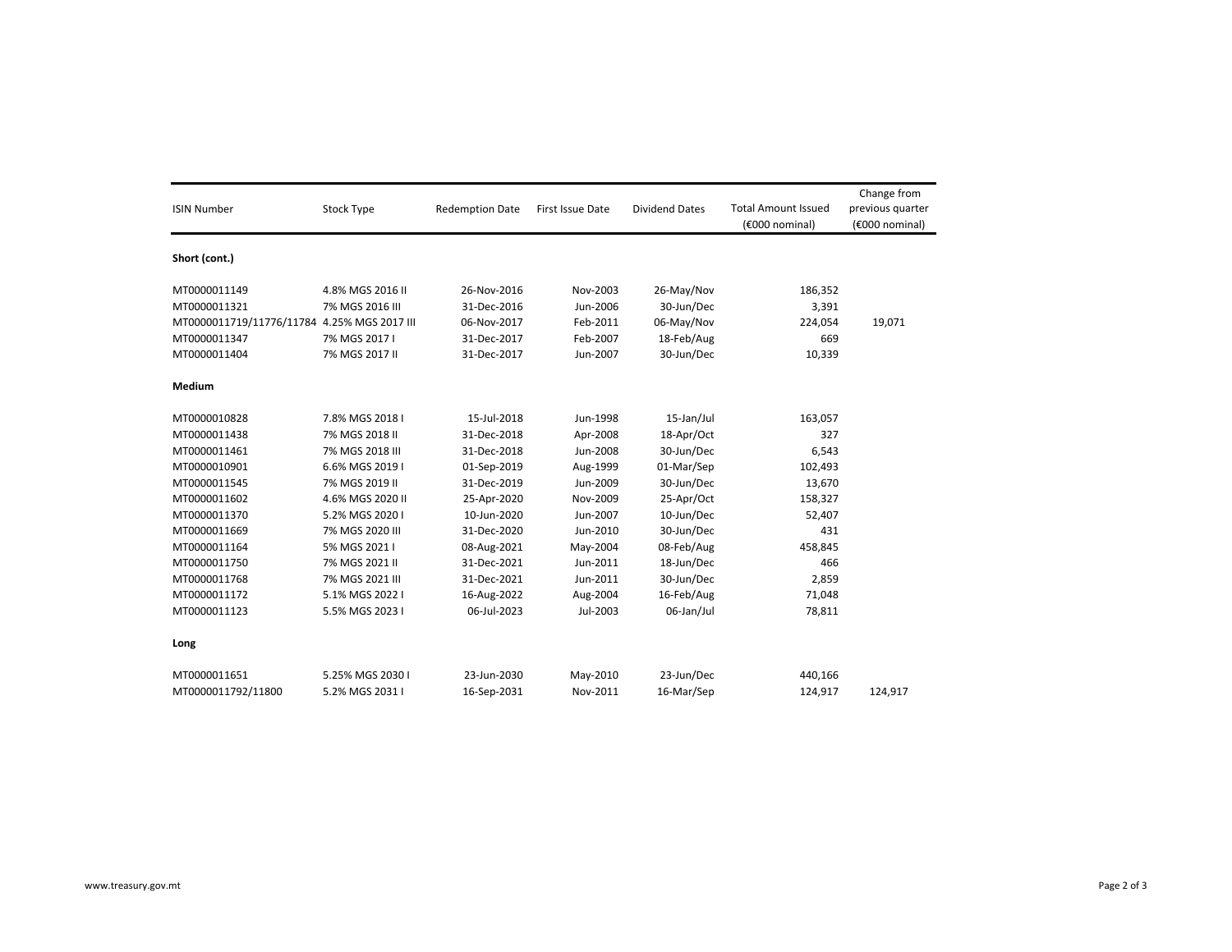| <b>ISIN Number</b>                          | Stock Type       | <b>Redemption Date</b> | <b>First Issue Date</b> | <b>Dividend Dates</b> | <b>Total Amount Issued</b><br>(€000 nominal) | Change from<br>previous quarter<br>(€000 nominal) |
|---------------------------------------------|------------------|------------------------|-------------------------|-----------------------|----------------------------------------------|---------------------------------------------------|
| Short (cont.)                               |                  |                        |                         |                       |                                              |                                                   |
| MT0000011149                                | 4.8% MGS 2016 II | 26-Nov-2016            | Nov-2003                | 26-May/Nov            | 186,352                                      |                                                   |
| MT0000011321                                | 7% MGS 2016 III  | 31-Dec-2016            | Jun-2006                | 30-Jun/Dec            | 3,391                                        |                                                   |
| MT0000011719/11776/11784 4.25% MGS 2017 III |                  | 06-Nov-2017            | Feb-2011                | 06-May/Nov            | 224,054                                      | 19,071                                            |
| MT0000011347                                | 7% MGS 2017 I    | 31-Dec-2017            | Feb-2007                | 18-Feb/Aug            | 669                                          |                                                   |
| MT0000011404                                | 7% MGS 2017 II   | 31-Dec-2017            | Jun-2007                | 30-Jun/Dec            | 10,339                                       |                                                   |
| Medium                                      |                  |                        |                         |                       |                                              |                                                   |
| MT0000010828                                | 7.8% MGS 2018 I  | 15-Jul-2018            | Jun-1998                | 15-Jan/Jul            | 163,057                                      |                                                   |
| MT0000011438                                | 7% MGS 2018 II   | 31-Dec-2018            | Apr-2008                | 18-Apr/Oct            | 327                                          |                                                   |
| MT0000011461                                | 7% MGS 2018 III  | 31-Dec-2018            | Jun-2008                | 30-Jun/Dec            | 6,543                                        |                                                   |
| MT0000010901                                | 6.6% MGS 2019 I  | 01-Sep-2019            | Aug-1999                | 01-Mar/Sep            | 102,493                                      |                                                   |
| MT0000011545                                | 7% MGS 2019 II   | 31-Dec-2019            | Jun-2009                | 30-Jun/Dec            | 13,670                                       |                                                   |
| MT0000011602                                | 4.6% MGS 2020 II | 25-Apr-2020            | Nov-2009                | 25-Apr/Oct            | 158,327                                      |                                                   |
| MT0000011370                                | 5.2% MGS 2020 I  | 10-Jun-2020            | Jun-2007                | 10-Jun/Dec            | 52,407                                       |                                                   |
| MT0000011669                                | 7% MGS 2020 III  | 31-Dec-2020            | Jun-2010                | 30-Jun/Dec            | 431                                          |                                                   |
| MT0000011164                                | 5% MGS 2021 I    | 08-Aug-2021            | May-2004                | 08-Feb/Aug            | 458,845                                      |                                                   |
| MT0000011750                                | 7% MGS 2021 II   | 31-Dec-2021            | Jun-2011                | 18-Jun/Dec            | 466                                          |                                                   |
| MT0000011768                                | 7% MGS 2021 III  | 31-Dec-2021            | Jun-2011                | 30-Jun/Dec            | 2,859                                        |                                                   |
| MT0000011172                                | 5.1% MGS 2022 I  | 16-Aug-2022            | Aug-2004                | 16-Feb/Aug            | 71,048                                       |                                                   |
| MT0000011123                                | 5.5% MGS 2023 I  | 06-Jul-2023            | Jul-2003                | 06-Jan/Jul            | 78,811                                       |                                                   |
| Long                                        |                  |                        |                         |                       |                                              |                                                   |
| MT0000011651                                | 5.25% MGS 2030 I | 23-Jun-2030            | May-2010                | 23-Jun/Dec            | 440,166                                      |                                                   |
| MT0000011792/11800                          | 5.2% MGS 2031 I  | 16-Sep-2031            | Nov-2011                | 16-Mar/Sep            | 124,917                                      | 124,917                                           |